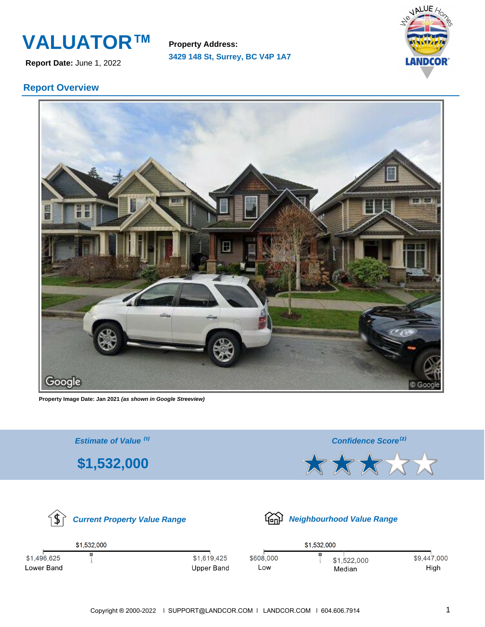**Report Date:** June 1, 2022

**3429 148 St, Surrey, BC V4P 1A7 Property Address:**



## **Report Overview**



**Property Image Date: Jan 2021 (as shown in Google Streeview)**

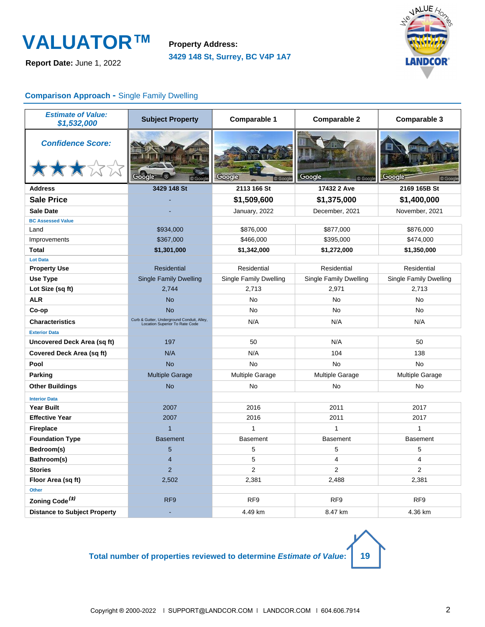**Report Date:** June 1, 2022

**3429 148 St, Surrey, BC V4P 1A7 Property Address:**



### **Comparison Approach -** Single Family Dwelling

| <b>Estimate of Value:</b><br>\$1,532,000 | <b>Subject Property</b>                                                      | <b>Comparable 1</b>    | <b>Comparable 2</b>           | <b>Comparable 3</b>           |
|------------------------------------------|------------------------------------------------------------------------------|------------------------|-------------------------------|-------------------------------|
| <b>Confidence Score:</b><br>大大大公众        |                                                                              | Gooc                   | Google<br>© Google            | Google<br>© Google            |
| <b>Address</b>                           | 3429 148 St                                                                  | 2113 166 St            | 17432 2 Ave                   | 2169 165B St                  |
| <b>Sale Price</b>                        |                                                                              | \$1,509,600            | \$1,375,000                   | \$1,400,000                   |
| <b>Sale Date</b>                         |                                                                              | January, 2022          | December, 2021                | November, 2021                |
| <b>BC Assessed Value</b>                 |                                                                              |                        |                               |                               |
| Land                                     | \$934,000                                                                    | \$876,000              | \$877,000                     | \$876,000                     |
| Improvements                             | \$367,000                                                                    | \$466,000              | \$395,000                     | \$474,000                     |
| <b>Total</b>                             | \$1,301,000                                                                  | \$1,342,000            | \$1,272,000                   | \$1,350,000                   |
| <b>Lot Data</b>                          |                                                                              |                        |                               |                               |
| <b>Property Use</b>                      | <b>Residential</b>                                                           | Residential            | Residential                   | Residential                   |
| <b>Use Type</b>                          | <b>Single Family Dwelling</b>                                                | Single Family Dwelling | <b>Single Family Dwelling</b> | <b>Single Family Dwelling</b> |
| Lot Size (sq ft)                         | 2.744                                                                        | 2,713                  | 2,971                         | 2,713                         |
| <b>ALR</b>                               | <b>No</b>                                                                    | No                     | <b>No</b>                     | <b>No</b>                     |
| Co-op                                    | <b>No</b>                                                                    | <b>No</b>              | <b>No</b>                     | <b>No</b>                     |
| <b>Characteristics</b>                   | Curb & Gutter, Underground Conduit, Alley,<br>Location Superior To Rate Code | N/A                    | N/A                           | N/A                           |
| <b>Exterior Data</b>                     |                                                                              |                        |                               |                               |
| Uncovered Deck Area (sq ft)              | 197                                                                          | 50                     | N/A                           | 50                            |
| Covered Deck Area (sq ft)                | N/A                                                                          | N/A                    | 104                           | 138                           |
| Pool                                     | <b>No</b>                                                                    | <b>No</b>              | No                            | <b>No</b>                     |
| Parking                                  | <b>Multiple Garage</b>                                                       | Multiple Garage        | Multiple Garage               | <b>Multiple Garage</b>        |
| <b>Other Buildings</b>                   | <b>No</b>                                                                    | No                     | No                            | No                            |
| <b>Interior Data</b>                     |                                                                              |                        |                               |                               |
| <b>Year Built</b>                        | 2007                                                                         | 2016                   | 2011                          | 2017                          |
| <b>Effective Year</b>                    | 2007                                                                         | 2016                   | 2011                          | 2017                          |
| <b>Fireplace</b>                         | $\overline{1}$                                                               | $\mathbf{1}$           | 1                             | $\mathbf{1}$                  |
| <b>Foundation Type</b>                   | <b>Basement</b>                                                              | <b>Basement</b>        | <b>Basement</b>               | <b>Basement</b>               |
| Bedroom(s)                               | 5                                                                            | 5                      | 5                             | 5                             |
| Bathroom(s)                              | $\overline{4}$                                                               | 5                      | 4                             | $\overline{4}$                |
| <b>Stories</b>                           | $\overline{2}$                                                               | $\overline{2}$         | $\overline{2}$                | $\overline{2}$                |
| Floor Area (sq ft)                       | 2,502                                                                        | 2,381                  | 2,488                         | 2,381                         |
| Other                                    |                                                                              |                        |                               |                               |
| Zoning Code <sup>(3)</sup>               | RF <sub>9</sub>                                                              | RF <sub>9</sub>        | RF <sub>9</sub>               | RF <sub>9</sub>               |
| <b>Distance to Subject Property</b>      |                                                                              | 4.49 km                | 8.47 km                       | 4.36 km                       |

**Total number of properties reviewed to determine Estimate of Value: 19**

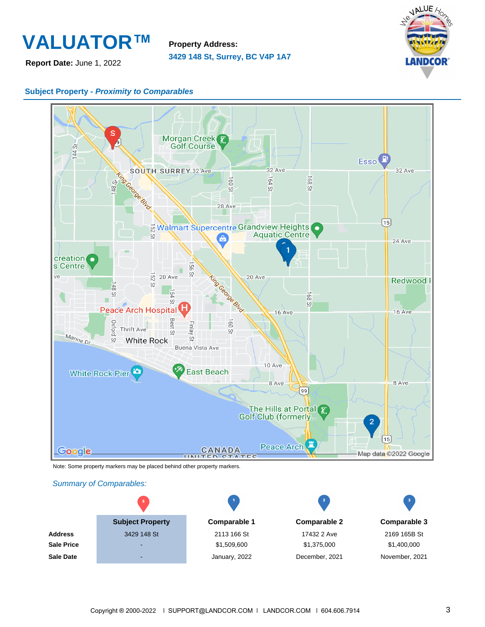

**Report Date:** June 1, 2022

**3429 148 St, Surrey, BC V4P 1A7 Property Address:**



### **Subject Property - Proximity to Comparables**



Note: Some property markers may be placed behind other property markers.

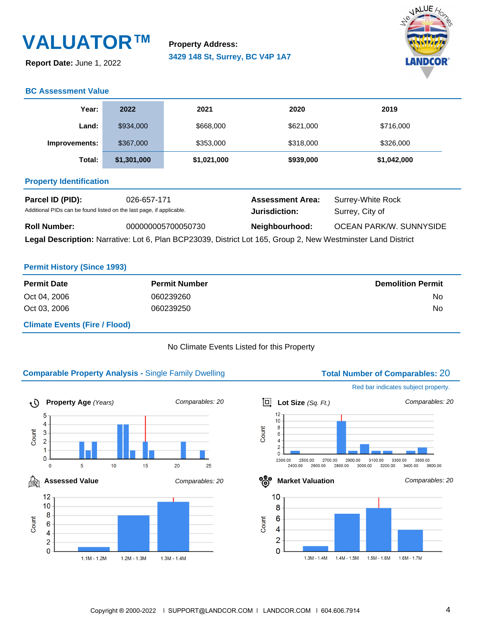**Report Date:** June 1, 2022

**3429 148 St, Surrey, BC V4P 1A7 Property Address:**



### **BC Assessment Value**

| Year:                                                                                                           | 2022        | 2021                                     | 2020                                 | 2019        |
|-----------------------------------------------------------------------------------------------------------------|-------------|------------------------------------------|--------------------------------------|-------------|
| Land:                                                                                                           | \$934,000   | \$668,000                                | \$621,000                            | \$716,000   |
| Improvements:                                                                                                   | \$367,000   | \$353,000                                | \$318,000                            | \$326,000   |
| Total:                                                                                                          | \$1,301,000 | \$1,021,000                              | \$939,000                            | \$1,042,000 |
| <b>Property Identification</b>                                                                                  |             |                                          |                                      |             |
| Parcel ID (PID):<br>026-657-171<br>Additional PIDs can be found listed on the last page, if applicable.         |             | <b>Assessment Area:</b><br>Jurisdiction: | Surrey-White Rock<br>Surrey, City of |             |
| <b>Roll Number:</b><br>000000005700050730                                                                       |             | Neighbourhood:                           | <b>OCEAN PARK/W. SUNNYSIDE</b>       |             |
| Land Basselintland Namethia Lat O. Disc. DOD00000 - District Lat 40E - One of March Western Later Land District |             |                                          |                                      |             |

**Legal Description:** Narrative: Lot 6, Plan BCP23039, District Lot 165, Group 2, New Westminster Land District

#### **Permit History (Since 1993)**

| <b>Permit Date</b>                   | <b>Permit Number</b> | <b>Demolition Permit</b> |
|--------------------------------------|----------------------|--------------------------|
| Oct 04, 2006                         | 060239260            | No                       |
| Oct 03, 2006                         | 060239250            | No                       |
| <b>Climate Events (Fire / Flood)</b> |                      |                          |

#### No Climate Events Listed for this Property

### **Comparable Property Analysis - Single Family Dwelling <b>Total Number of Comparables:** 20





 $1.4M - 1.5M$ 

 $1.5M - 1.6M$ 

 $1.6M - 1.7M$ 

 $1.3M - 1.4M$